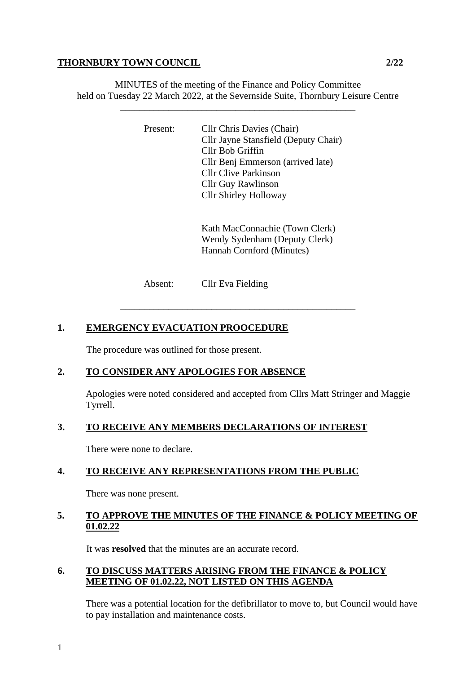#### **THORNBURY TOWN COUNCIL** 2/22

MINUTES of the meeting of the Finance and Policy Committee held on Tuesday 22 March 2022, at the Severnside Suite, Thornbury Leisure Centre

\_\_\_\_\_\_\_\_\_\_\_\_\_\_\_\_\_\_\_\_\_\_\_\_\_\_\_\_\_\_\_\_\_\_\_\_\_\_\_\_\_\_\_\_\_\_\_\_\_

Present: Cllr Chris Davies (Chair) Cllr Jayne Stansfield (Deputy Chair) Cllr Bob Griffin Cllr Benj Emmerson (arrived late) Cllr Clive Parkinson Cllr Guy Rawlinson Cllr Shirley Holloway

> Kath MacConnachie (Town Clerk) Wendy Sydenham (Deputy Clerk) Hannah Cornford (Minutes)

Absent: Cllr Eva Fielding

# **1. EMERGENCY EVACUATION PROOCEDURE**

The procedure was outlined for those present.

# **2. TO CONSIDER ANY APOLOGIES FOR ABSENCE**

Apologies were noted considered and accepted from Cllrs Matt Stringer and Maggie Tyrrell.

\_\_\_\_\_\_\_\_\_\_\_\_\_\_\_\_\_\_\_\_\_\_\_\_\_\_\_\_\_\_\_\_\_\_\_\_\_\_\_\_\_\_\_\_\_\_\_\_\_

# **3. TO RECEIVE ANY MEMBERS DECLARATIONS OF INTEREST**

There were none to declare.

# **4. TO RECEIVE ANY REPRESENTATIONS FROM THE PUBLIC**

There was none present.

## **5. TO APPROVE THE MINUTES OF THE FINANCE & POLICY MEETING OF 01.02.22**

It was **resolved** that the minutes are an accurate record.

## **6. TO DISCUSS MATTERS ARISING FROM THE FINANCE & POLICY MEETING OF 01.02.22, NOT LISTED ON THIS AGENDA**

There was a potential location for the defibrillator to move to, but Council would have to pay installation and maintenance costs.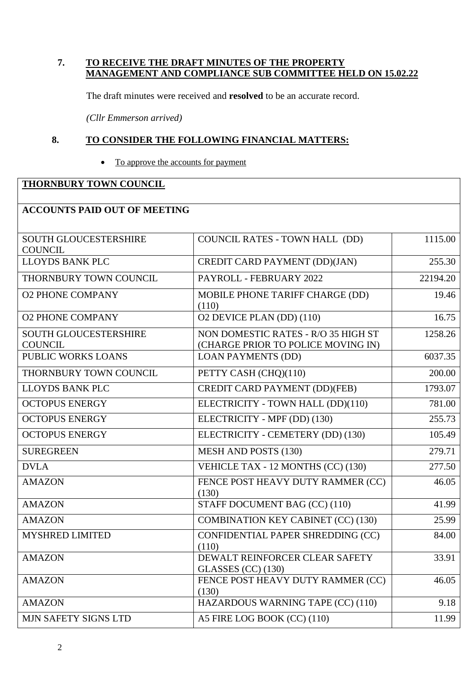### **7. TO RECEIVE THE DRAFT MINUTES OF THE PROPERTY MANAGEMENT AND COMPLIANCE SUB COMMITTEE HELD ON 15.02.22**

The draft minutes were received and **resolved** to be an accurate record.

*(Cllr Emmerson arrived)*

### **8. TO CONSIDER THE FOLLOWING FINANCIAL MATTERS:**

• To approve the accounts for payment

## **THORNBURY TOWN COUNCIL**

| <b>ACCOUNTS PAID OUT OF MEETING</b>            |                                                                           |          |
|------------------------------------------------|---------------------------------------------------------------------------|----------|
| <b>SOUTH GLOUCESTERSHIRE</b><br><b>COUNCIL</b> | <b>COUNCIL RATES - TOWN HALL (DD)</b>                                     | 1115.00  |
| LLOYDS BANK PLC                                | <b>CREDIT CARD PAYMENT (DD)(JAN)</b>                                      | 255.30   |
| THORNBURY TOWN COUNCIL                         | PAYROLL - FEBRUARY 2022                                                   | 22194.20 |
| <b>O2 PHONE COMPANY</b>                        | MOBILE PHONE TARIFF CHARGE (DD)<br>(110)                                  | 19.46    |
| <b>O2 PHONE COMPANY</b>                        | O2 DEVICE PLAN (DD) (110)                                                 | 16.75    |
| <b>SOUTH GLOUCESTERSHIRE</b><br><b>COUNCIL</b> | NON DOMESTIC RATES - R/O 35 HIGH ST<br>(CHARGE PRIOR TO POLICE MOVING IN) | 1258.26  |
| PUBLIC WORKS LOANS                             | <b>LOAN PAYMENTS (DD)</b>                                                 | 6037.35  |
| THORNBURY TOWN COUNCIL                         | PETTY CASH (CHQ)(110)                                                     | 200.00   |
| LLOYDS BANK PLC                                | <b>CREDIT CARD PAYMENT (DD)(FEB)</b>                                      | 1793.07  |
| <b>OCTOPUS ENERGY</b>                          | ELECTRICITY - TOWN HALL (DD)(110)                                         | 781.00   |
| <b>OCTOPUS ENERGY</b>                          | ELECTRICITY - MPF (DD) (130)                                              | 255.73   |
| <b>OCTOPUS ENERGY</b>                          | ELECTRICITY - CEMETERY (DD) (130)                                         | 105.49   |
| <b>SUREGREEN</b>                               | <b>MESH AND POSTS (130)</b>                                               | 279.71   |
| <b>DVLA</b>                                    | VEHICLE TAX - 12 MONTHS (CC) (130)                                        | 277.50   |
| <b>AMAZON</b>                                  | FENCE POST HEAVY DUTY RAMMER (CC)<br>(130)                                | 46.05    |
| <b>AMAZON</b>                                  | STAFF DOCUMENT BAG (CC) (110)                                             | 41.99    |
| <b>AMAZON</b>                                  | <b>COMBINATION KEY CABINET (CC) (130)</b>                                 | 25.99    |
| <b>MYSHRED LIMITED</b>                         | CONFIDENTIAL PAPER SHREDDING (CC)<br>(110)                                | 84.00    |
| <b>AMAZON</b>                                  | DEWALT REINFORCER CLEAR SAFETY<br>GLASSES $(CC)$ (130)                    | 33.91    |
| <b>AMAZON</b>                                  | FENCE POST HEAVY DUTY RAMMER (CC)<br>(130)                                | 46.05    |
| <b>AMAZON</b>                                  | HAZARDOUS WARNING TAPE (CC) (110)                                         | 9.18     |
| MJN SAFETY SIGNS LTD                           | A5 FIRE LOG BOOK (CC) (110)                                               | 11.99    |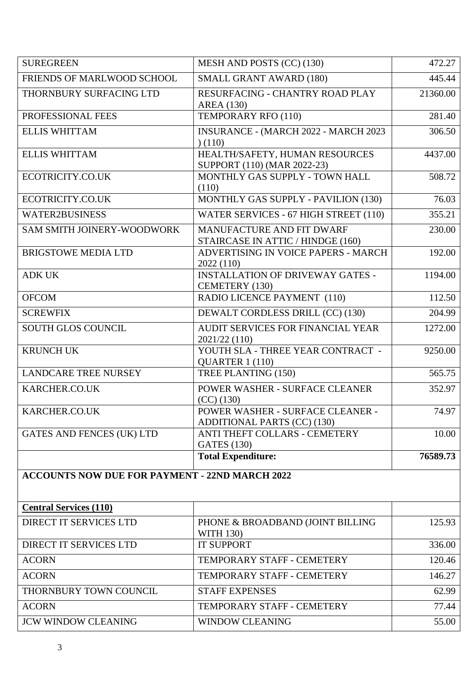| <b>SUREGREEN</b>                                      | MESH AND POSTS (CC) (130)                                       | 472.27   |  |  |
|-------------------------------------------------------|-----------------------------------------------------------------|----------|--|--|
| FRIENDS OF MARLWOOD SCHOOL                            | <b>SMALL GRANT AWARD (180)</b>                                  | 445.44   |  |  |
| THORNBURY SURFACING LTD                               | RESURFACING - CHANTRY ROAD PLAY<br><b>AREA</b> (130)            | 21360.00 |  |  |
| PROFESSIONAL FEES                                     | TEMPORARY RFO (110)                                             | 281.40   |  |  |
| <b>ELLIS WHITTAM</b>                                  | <b>INSURANCE - (MARCH 2022 - MARCH 2023)</b><br>(110)           | 306.50   |  |  |
| <b>ELLIS WHITTAM</b>                                  | HEALTH/SAFETY, HUMAN RESOURCES<br>SUPPORT (110) (MAR 2022-23)   | 4437.00  |  |  |
| ECOTRICITY.CO.UK                                      | MONTHLY GAS SUPPLY - TOWN HALL<br>(110)                         | 508.72   |  |  |
| ECOTRICITY.CO.UK                                      | MONTHLY GAS SUPPLY - PAVILION (130)                             | 76.03    |  |  |
| <b>WATER2BUSINESS</b>                                 | WATER SERVICES - 67 HIGH STREET (110)                           | 355.21   |  |  |
| SAM SMITH JOINERY-WOODWORK                            | MANUFACTURE AND FIT DWARF<br>STAIRCASE IN ATTIC / HINDGE (160)  | 230.00   |  |  |
| <b>BRIGSTOWE MEDIA LTD</b>                            | ADVERTISING IN VOICE PAPERS - MARCH<br>2022 (110)               | 192.00   |  |  |
| <b>ADK UK</b>                                         | <b>INSTALLATION OF DRIVEWAY GATES -</b><br>CEMETERY (130)       | 1194.00  |  |  |
| <b>OFCOM</b>                                          | RADIO LICENCE PAYMENT (110)                                     | 112.50   |  |  |
| <b>SCREWFIX</b>                                       | DEWALT CORDLESS DRILL (CC) (130)                                | 204.99   |  |  |
| <b>SOUTH GLOS COUNCIL</b>                             | AUDIT SERVICES FOR FINANCIAL YEAR<br>2021/22 (110)              | 1272.00  |  |  |
| <b>KRUNCH UK</b>                                      | YOUTH SLA - THREE YEAR CONTRACT -<br>QUARTER 1 (110)            | 9250.00  |  |  |
| <b>LANDCARE TREE NURSEY</b>                           | TREE PLANTING (150)                                             | 565.75   |  |  |
| KARCHER.CO.UK                                         | POWER WASHER - SURFACE CLEANER<br>(CC) (130)                    | 352.97   |  |  |
| KARCHER.CO.UK                                         | POWER WASHER - SURFACE CLEANER -<br>ADDITIONAL PARTS (CC) (130) | 74.97    |  |  |
| <b>GATES AND FENCES (UK) LTD</b>                      | ANTI THEFT COLLARS - CEMETERY<br><b>GATES</b> (130)             | 10.00    |  |  |
|                                                       | <b>Total Expenditure:</b>                                       | 76589.73 |  |  |
| <b>ACCOUNTS NOW DUE FOR PAYMENT - 22ND MARCH 2022</b> |                                                                 |          |  |  |
| <b>Central Services (110)</b>                         |                                                                 |          |  |  |
| DIRECT IT SERVICES LTD                                | PHONE & BROADBAND (JOINT BILLING<br><b>WITH 130)</b>            | 125.93   |  |  |
| DIRECT IT SERVICES LTD                                | <b>IT SUPPORT</b>                                               | 336.00   |  |  |
| <b>ACORN</b>                                          | TEMPORARY STAFF - CEMETERY                                      | 120.46   |  |  |
| <b>ACORN</b>                                          | TEMPORARY STAFF - CEMETERY                                      | 146.27   |  |  |
| THORNBURY TOWN COUNCIL                                | <b>STAFF EXPENSES</b>                                           | 62.99    |  |  |
| <b>ACORN</b>                                          | TEMPORARY STAFF - CEMETERY                                      | 77.44    |  |  |
| <b>JCW WINDOW CLEANING</b>                            | <b>WINDOW CLEANING</b>                                          | 55.00    |  |  |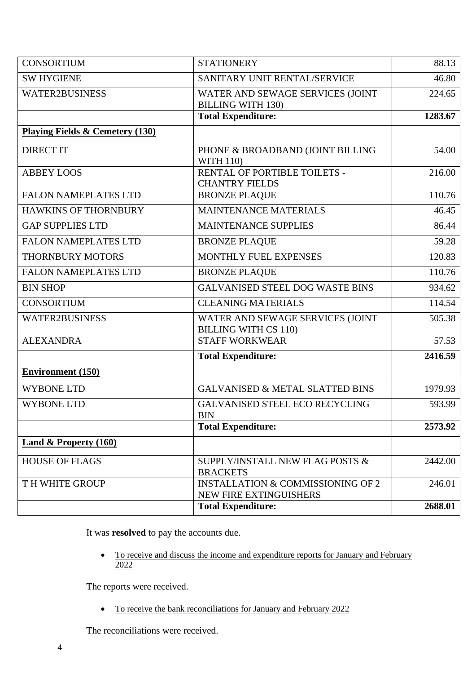| <b>CONSORTIUM</b>                          | <b>STATIONERY</b>                                                      | 88.13   |
|--------------------------------------------|------------------------------------------------------------------------|---------|
| <b>SW HYGIENE</b>                          | SANITARY UNIT RENTAL/SERVICE                                           | 46.80   |
| <b>WATER2BUSINESS</b>                      | WATER AND SEWAGE SERVICES (JOINT<br><b>BILLING WITH 130)</b>           | 224.65  |
|                                            | <b>Total Expenditure:</b>                                              | 1283.67 |
| <b>Playing Fields &amp; Cemetery (130)</b> |                                                                        |         |
| <b>DIRECT IT</b>                           | PHONE & BROADBAND (JOINT BILLING<br><b>WITH 110)</b>                   | 54.00   |
| <b>ABBEY LOOS</b>                          | RENTAL OF PORTIBLE TOILETS -<br><b>CHANTRY FIELDS</b>                  | 216.00  |
| <b>FALON NAMEPLATES LTD</b>                | <b>BRONZE PLAQUE</b>                                                   | 110.76  |
| <b>HAWKINS OF THORNBURY</b>                | <b>MAINTENANCE MATERIALS</b>                                           | 46.45   |
| <b>GAP SUPPLIES LTD</b>                    | <b>MAINTENANCE SUPPLIES</b>                                            | 86.44   |
| <b>FALON NAMEPLATES LTD</b>                | <b>BRONZE PLAQUE</b>                                                   | 59.28   |
| <b>THORNBURY MOTORS</b>                    | MONTHLY FUEL EXPENSES                                                  | 120.83  |
| <b>FALON NAMEPLATES LTD</b>                | <b>BRONZE PLAQUE</b>                                                   | 110.76  |
| <b>BIN SHOP</b>                            | <b>GALVANISED STEEL DOG WASTE BINS</b>                                 | 934.62  |
| <b>CONSORTIUM</b>                          | <b>CLEANING MATERIALS</b>                                              | 114.54  |
| <b>WATER2BUSINESS</b>                      | WATER AND SEWAGE SERVICES (JOINT<br><b>BILLING WITH CS 110)</b>        | 505.38  |
| <b>ALEXANDRA</b>                           | <b>STAFF WORKWEAR</b>                                                  | 57.53   |
|                                            | <b>Total Expenditure:</b>                                              | 2416.59 |
| <b>Environment (150)</b>                   |                                                                        |         |
| <b>WYBONE LTD</b>                          | <b>GALVANISED &amp; METAL SLATTED BINS</b>                             | 1979.93 |
| <b>WYBONE LTD</b>                          | <b>GALVANISED STEEL ECO RECYCLING</b><br><b>BIN</b>                    | 593.99  |
|                                            | <b>Total Expenditure:</b>                                              | 2573.92 |
| <b>Land &amp; Property (160)</b>           |                                                                        |         |
| <b>HOUSE OF FLAGS</b>                      | SUPPLY/INSTALL NEW FLAG POSTS &<br><b>BRACKETS</b>                     | 2442.00 |
| TH WHITE GROUP                             | <b>INSTALLATION &amp; COMMISSIONING OF 2</b><br>NEW FIRE EXTINGUISHERS | 246.01  |
|                                            | <b>Total Expenditure:</b>                                              | 2688.01 |

It was **resolved** to pay the accounts due.

• To receive and discuss the income and expenditure reports for January and February 2022

The reports were received.

• To receive the bank reconciliations for January and February 2022

The reconciliations were received.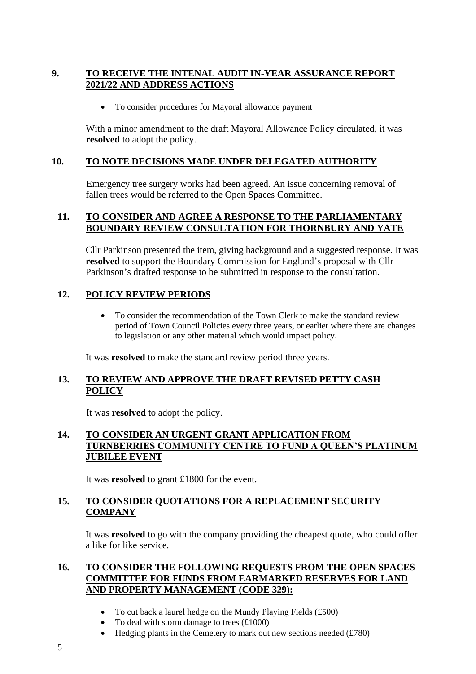## **9. TO RECEIVE THE INTENAL AUDIT IN-YEAR ASSURANCE REPORT 2021/22 AND ADDRESS ACTIONS**

• To consider procedures for Mayoral allowance payment

With a minor amendment to the draft Mayoral Allowance Policy circulated, it was **resolved** to adopt the policy.

### **10. TO NOTE DECISIONS MADE UNDER DELEGATED AUTHORITY**

Emergency tree surgery works had been agreed. An issue concerning removal of fallen trees would be referred to the Open Spaces Committee.

### **11. TO CONSIDER AND AGREE A RESPONSE TO THE PARLIAMENTARY BOUNDARY REVIEW CONSULTATION FOR THORNBURY AND YATE**

Cllr Parkinson presented the item, giving background and a suggested response. It was **resolved** to support the Boundary Commission for England's proposal with Cllr Parkinson's drafted response to be submitted in response to the consultation.

### **12. POLICY REVIEW PERIODS**

• To consider the recommendation of the Town Clerk to make the standard review period of Town Council Policies every three years, or earlier where there are changes to legislation or any other material which would impact policy.

It was **resolved** to make the standard review period three years.

### **13. TO REVIEW AND APPROVE THE DRAFT REVISED PETTY CASH POLICY**

It was **resolved** to adopt the policy.

### **14. TO CONSIDER AN URGENT GRANT APPLICATION FROM TURNBERRIES COMMUNITY CENTRE TO FUND A QUEEN'S PLATINUM JUBILEE EVENT**

It was **resolved** to grant £1800 for the event.

### **15. TO CONSIDER QUOTATIONS FOR A REPLACEMENT SECURITY COMPANY**

It was **resolved** to go with the company providing the cheapest quote, who could offer a like for like service.

### **16. TO CONSIDER THE FOLLOWING REQUESTS FROM THE OPEN SPACES COMMITTEE FOR FUNDS FROM EARMARKED RESERVES FOR LAND AND PROPERTY MANAGEMENT (CODE 329):**

- To cut back a laurel hedge on the Mundy Playing Fields (£500)
- To deal with storm damage to trees  $(\text{\pounds}1000)$
- Hedging plants in the Cemetery to mark out new sections needed  $(f780)$